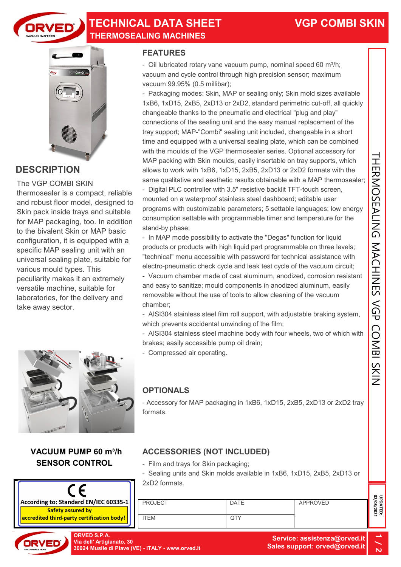

## TECHNICAL DATA SHEET THERMOSEALING MACHINES



## **DESCRIPTION**

The VGP COMBI SKIN thermosealer is a compact, reliable and robust floor model, designed to Skin pack inside trays and suitable for MAP packaging, too. In addition to the bivalent Skin or MAP basic configuration, it is equipped with a specific MAP sealing unit with an universal sealing plate, suitable for various mould types. This peculiarity makes it an extremely versatile machine, suitable for laboratories, for the delivery and take away sector.



#### VACUUM PUMP 60 m<sup>3</sup>/h SENSOR CONTROL



#### FEATURES

- Oil lubricated rotary vane vacuum pump, nominal speed 60 m $^3$ /h; vacuum and cycle control through high precision sensor; maximum vacuum 99.95% (0.5 millibar);

- Packaging modes: Skin, MAP or sealing only; Skin mold sizes available 1xB6, 1xD15, 2xB5, 2xD13 or 2xD2, standard perimetric cut-off, all quickly changeable thanks to the pneumatic and electrical "plug and play" connections of the sealing unit and the easy manual replacement of the tray support; MAP-"Combi" sealing unit included, changeable in a short time and equipped with a universal sealing plate, which can be combined with the moulds of the VGP thermosealer series. Optional accessory for MAP packing with Skin moulds, easily insertable on tray supports, which allows to work with 1xB6, 1xD15, 2xB5, 2xD13 or 2xD2 formats with the same qualitative and aesthetic results obtainable with a MAP thermosealer;

- Digital PLC controller with 3.5" resistive backlit TFT-touch screen, mounted on a waterproof stainless steel dashboard; editable user programs with customizable parameters; 5 settable languages; low energy consumption settable with programmable timer and temperature for the stand-by phase; with the moulds of the VGP thermosealer series. Optional accessory for<br>MAP packing with Skin moulds, easily inseriable on tray supports, which<br>allows to work with 1xB6, 1xD15, 2xB5, 2xD13 or 2xD2 formats with the<br>same qual

- In MAP mode possibility to activate the "Degas" function for liquid products or products with high liquid part programmable on three levels; "technical" menu accessible with password for technical assistance with electro-pneumatic check cycle and leak test cycle of the vacuum circuit;

- Vacuum chamber made of cast aluminum, anodized, corrosion resistant and easy to sanitize; mould components in anodized aluminum, easily removable without the use of tools to allow cleaning of the vacuum chamber;

- AISI304 stainless steel film roll support, with adjustable braking system, which prevents accidental unwinding of the film;

- AISI304 stainless steel machine body with four wheels, two of which with brakes; easily accessible pump oil drain;

- Compressed air operating.

### **OPTIONALS**

- Accessory for MAP packaging in 1xB6, 1xD15, 2xB5, 2xD13 or 2xD2 tray formats.

- Film and trays for Skin packaging;
- Sealing units and Skin molds available in 1xB6, 1xD15, 2xB5, 2xD13 or 2xD2 formats.

| <b>ORVED S.P.A.</b><br>Via dell' Artigianato, 30<br>30024 Musile di Piave (VE) - ITALY - www.orved.it |                |             | Service: assistenza@orved.it<br>Sales support: orved@orved.it |                       |
|-------------------------------------------------------------------------------------------------------|----------------|-------------|---------------------------------------------------------------|-----------------------|
| <u>v certification body!</u>                                                                          | <b>ITEM</b>    | QTY         |                                                               |                       |
| ard EN/IEC 60335-1<br>ured bv                                                                         | <b>PROJECT</b> | <b>DATE</b> | APPROVED                                                      | UPDATED:<br>02/08/202 |
|                                                                                                       |                |             |                                                               |                       |